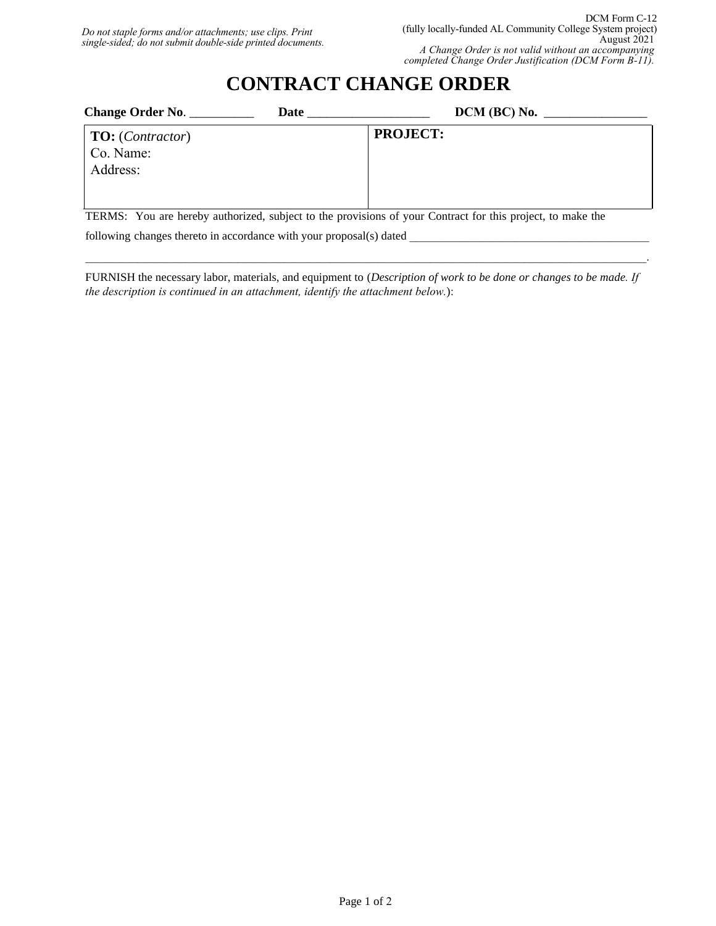## **CONTRACT CHANGE ORDER**

| <b>Change Order No.</b>                                   | Date | $DCM$ (BC) No. $\_$ |  |
|-----------------------------------------------------------|------|---------------------|--|
| <b>TO:</b> ( <i>Contractor</i> )<br>Co. Name:<br>Address: |      | <b>PROJECT:</b>     |  |

TERMS: You are hereby authorized, subject to the provisions of your Contract for this project, to make the following changes thereto in accordance with your proposal(s) dated

FURNISH the necessary labor, materials, and equipment to (*Description of work to be done or changes to be made. If the description is continued in an attachment, identify the attachment below.*):

 $\mathcal{L}_\mathcal{L} = \mathcal{L}_\mathcal{L} = \mathcal{L}_\mathcal{L} = \mathcal{L}_\mathcal{L} = \mathcal{L}_\mathcal{L} = \mathcal{L}_\mathcal{L} = \mathcal{L}_\mathcal{L} = \mathcal{L}_\mathcal{L} = \mathcal{L}_\mathcal{L} = \mathcal{L}_\mathcal{L} = \mathcal{L}_\mathcal{L} = \mathcal{L}_\mathcal{L} = \mathcal{L}_\mathcal{L} = \mathcal{L}_\mathcal{L} = \mathcal{L}_\mathcal{L} = \mathcal{L}_\mathcal{L} = \mathcal{L}_\mathcal{L}$